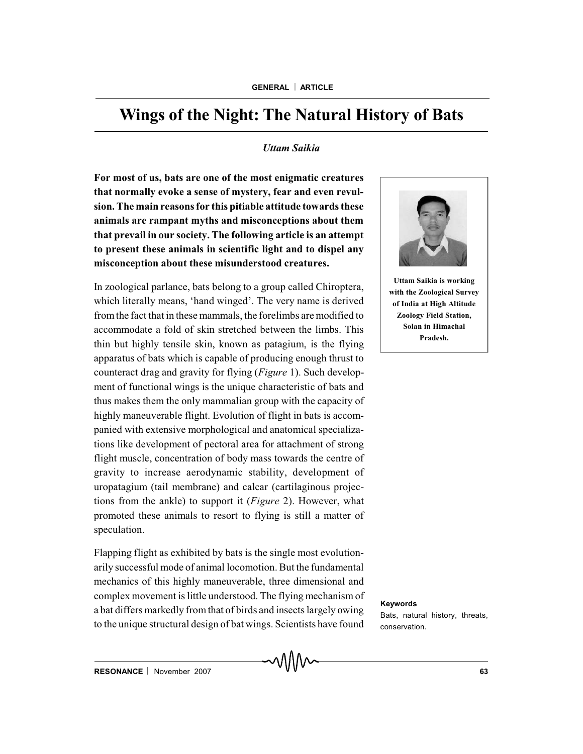# **Wings of the Night: The Natural History of Bats**

### *Uttam Saikia*

**For most of us, bats are one of the most enigmatic creatures that normally evoke a sense of mystery, fear and even revulsion. The main reasons for this pitiable attitude towards these animals are rampant myths and misconceptions about them that prevail in our society. The following article is an attempt to present these animals in scientific light and to dispel any misconception about these misunderstood creatures.**

In zoological parlance, bats belong to a group called Chiroptera, which literally means, 'hand winged'. The very name is derived fromthe fact that in these mammals, the forelimbs are modified to accommodate a fold of skin stretched between the limbs. This thin but highly tensile skin, known as patagium, is the flying apparatus of bats which is capable of producing enough thrust to counteract drag and gravity for flying (*Figure* 1). Such development of functional wings is the unique characteristic of bats and thus makes them the only mammalian group with the capacity of highly maneuverable flight. Evolution of flight in bats is accompanied with extensive morphological and anatomical specializations like development of pectoral area for attachment of strong flight muscle, concentration of body mass towards the centre of gravity to increase aerodynamic stability, development of uropatagium (tail membrane) and calcar (cartilaginous projections from the ankle) to support it (*Figure* 2). However, what promoted these animals to resort to flying is still a matter of speculation.

Flapping flight as exhibited by bats is the single most evolutionarily successful mode of animal locomotion. But the fundamental mechanics of this highly maneuverable, three dimensional and complex movement is little understood. The flying mechanism of a bat differs markedly from that of birds and insects largely owing to the unique structural design of bat wings. Scientists have found



**Uttam Saikia is working with the Zoological Survey of India at High Altitude Zoology Field Station, Solan in Himachal Pradesh.**

#### **Keywords**

Bats, natural history, threats, conservation.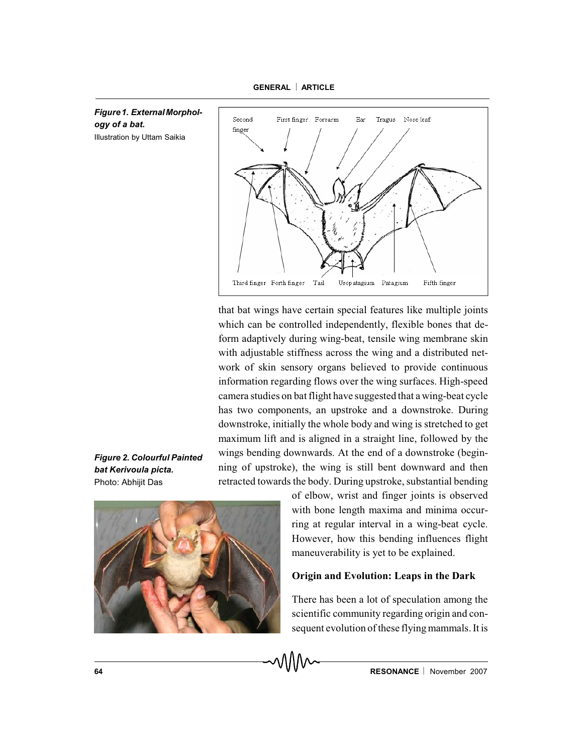

*Figure 1. ExternalMorphology of a bat.* Illustration by Uttam Saikia



that bat wings have certain special features like multiple joints which can be controlled independently, flexible bones that deform adaptively during wing-beat, tensile wing membrane skin with adjustable stiffness across the wing and a distributed network of skin sensory organs believed to provide continuous information regarding flows over the wing surfaces. High-speed camera studies on bat flight have suggested that a wing-beat cycle has two components, an upstroke and a downstroke. During downstroke, initially the whole body and wing is stretched to get maximum lift and is aligned in a straight line, followed by the wings bending downwards. At the end of a downstroke (beginning of upstroke), the wing is still bent downward and then retracted towards the body. During upstroke, substantial bending

*Figure 2. Colourful Painted bat Kerivoula picta.* Photo: Abhijit Das



of elbow, wrist and finger joints is observed with bone length maxima and minima occurring at regular interval in a wing-beat cycle. However, how this bending influences flight maneuverability is yet to be explained.

# **Origin and Evolution: Leaps in the Dark**

There has been a lot of speculation among the scientific community regarding origin and consequent evolution of these flying mammals. It is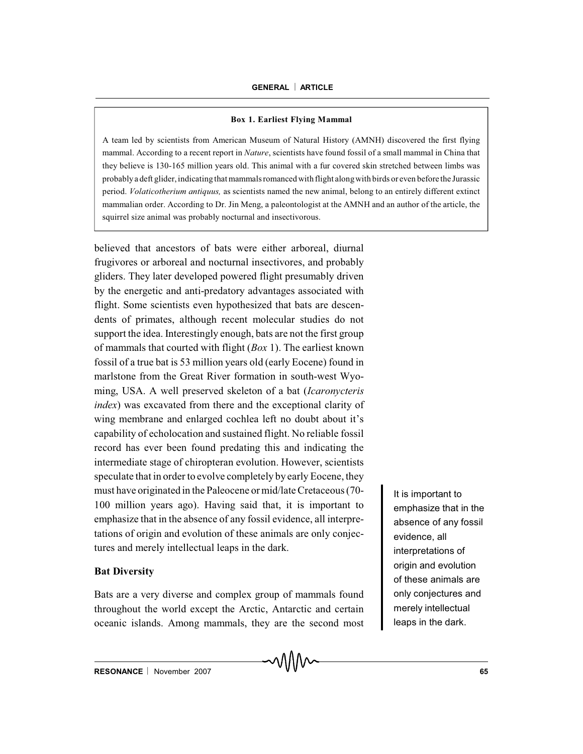### **Box 1. Earliest Flying Mammal**

A team led by scientists from American Museum of Natural History (AMNH) discovered the first flying mammal. According to a recent report in *Nature*, scientists have found fossil of a small mammal in China that they believe is 130-165 million years old. This animal with a fur covered skin stretched between limbs was probably a deft glider, indicating that mammals romanced with flight along with birds or even before the Jurassic period. *Volaticotherium antiquus,* as scientists named the new animal, belong to an entirely different extinct mammalian order. According to Dr. Jin Meng, a paleontologist at the AMNH and an author of the article, the squirrel size animal was probably nocturnal and insectivorous.

believed that ancestors of bats were either arboreal, diurnal frugivores or arboreal and nocturnal insectivores, and probably gliders. They later developed powered flight presumably driven by the energetic and anti-predatory advantages associated with flight. Some scientists even hypothesized that bats are descendents of primates, although recent molecular studies do not support the idea. Interestingly enough, bats are not the first group of mammals that courted with flight (*Box* 1). The earliest known fossil of a true bat is 53 million years old (early Eocene) found in marlstone from the Great River formation in south-west Wyoming, USA. A well preserved skeleton of a bat (*Icaronycteris index*) was excavated from there and the exceptional clarity of wing membrane and enlarged cochlea left no doubt about it's capability of echolocation and sustained flight. No reliable fossil record has ever been found predating this and indicating the intermediate stage of chiropteran evolution. However, scientists speculate that in order to evolve completely by early Eocene, they must have originated in the Paleocene or mid/late Cretaceous (70- 100 million years ago). Having said that, it is important to emphasize that in the absence of any fossil evidence, all interpretations of origin and evolution of these animals are only conjectures and merely intellectual leaps in the dark.

# **Bat Diversity**

Bats are a very diverse and complex group of mammals found throughout the world except the Arctic, Antarctic and certain oceanic islands. Among mammals, they are the second most

It is important to emphasize that in the absence of any fossil evidence, all interpretations of origin and evolution of these animals are only conjectures and merely intellectual leaps in the dark.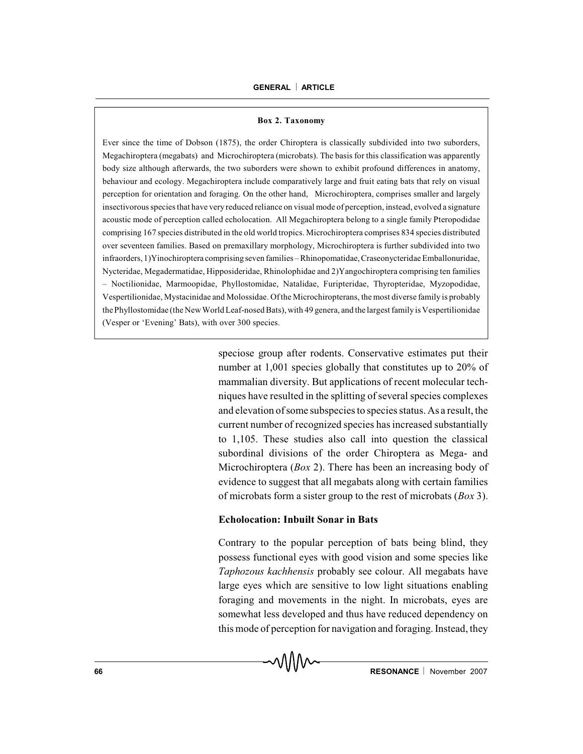#### **Box 2. Taxonomy**

Ever since the time of Dobson (1875), the order Chiroptera is classically subdivided into two suborders, Megachiroptera (megabats) and Microchiroptera (microbats). The basis for this classification was apparently body size although afterwards, the two suborders were shown to exhibit profound differences in anatomy, behaviour and ecology. Megachiroptera include comparatively large and fruit eating bats that rely on visual perception for orientation and foraging. On the other hand, Microchiroptera, comprises smaller and largely insectivorous species that have very reduced reliance on visual mode of perception, instead, evolved a signature acoustic mode of perception called echolocation. All Megachiroptera belong to a single family Pteropodidae comprising 167 species distributed in the old world tropics. Microchiroptera comprises 834 species distributed over seventeen families. Based on premaxillary morphology, Microchiroptera is further subdivided into two infraorders, 1)Yinochiroptera comprising seven families – Rhinopomatidae, Craseonycteridae Emballonuridae, Nycteridae, Megadermatidae, Hipposideridae, Rhinolophidae and 2)Yangochiroptera comprising ten families – Noctilionidae, Marmoopidae, Phyllostomidae, Natalidae, Furipteridae, Thyropteridae, Myzopodidae, Vespertilionidae, Mystacinidae and Molossidae. Of the Microchiropterans, the most diverse family is probably the Phyllostomidae (the NewWorld Leaf-nosed Bats), with 49 genera, and the largest familyis Vespertilionidae (Vesper or 'Evening' Bats), with over 300 species.

> speciose group after rodents. Conservative estimates put their number at 1,001 species globally that constitutes up to 20% of mammalian diversity. But applications of recent molecular techniques have resulted in the splitting of several species complexes and elevation of some subspecies to species status. As a result, the current number of recognized species has increased substantially to 1,105. These studies also call into question the classical subordinal divisions of the order Chiroptera as Mega- and Microchiroptera (*Box* 2). There has been an increasing body of evidence to suggest that all megabats along with certain families of microbats form a sister group to the rest of microbats (*Box* 3).

### **Echolocation: Inbuilt Sonar in Bats**

Contrary to the popular perception of bats being blind, they possess functional eyes with good vision and some species like *Taphozous kachhensis* probably see colour. All megabats have large eyes which are sensitive to low light situations enabling foraging and movements in the night. In microbats, eyes are somewhat less developed and thus have reduced dependency on this mode of perception for navigation and foraging. Instead, they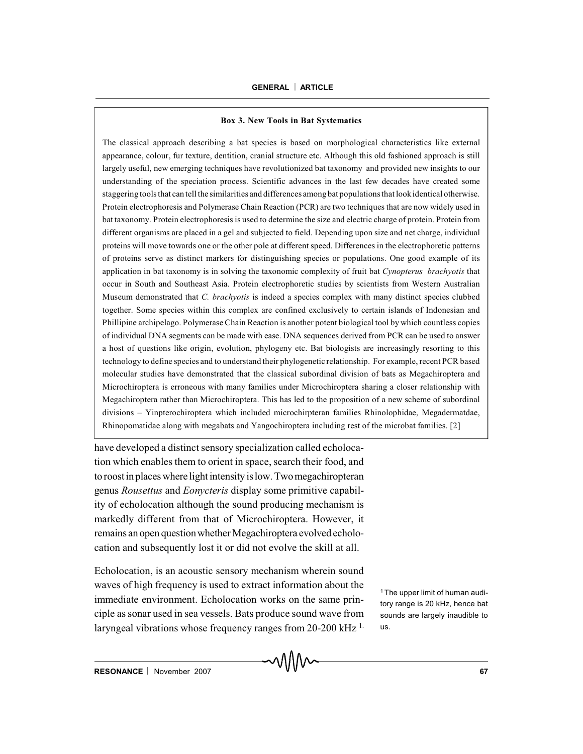### **Box 3. New Tools in Bat Systematics**

The classical approach describing a bat species is based on morphological characteristics like external appearance, colour, fur texture, dentition, cranial structure etc. Although this old fashioned approach is still largely useful, new emerging techniques have revolutionized bat taxonomy and provided new insights to our understanding of the speciation process. Scientific advances in the last few decades have created some staggering toolsthat can tell the similarities and differences among bat populationsthat lookidentical otherwise. Protein electrophoresis and Polymerase Chain Reaction (PCR) are two techniques that are now widely used in bat taxonomy. Protein electrophoresis is used to determine the size and electric charge of protein. Protein from different organisms are placed in a gel and subjected to field. Depending upon size and net charge, individual proteins will move towards one or the other pole at different speed. Differences in the electrophoretic patterns of proteins serve as distinct markers for distinguishing species or populations. One good example of its application in bat taxonomy is in solving the taxonomic complexity of fruit bat *Cynopterus brachyotis* that occur in South and Southeast Asia. Protein electrophoretic studies by scientists from Western Australian Museum demonstrated that *C. brachyotis* is indeed a species complex with many distinct species clubbed together. Some species within this complex are confined exclusively to certain islands of Indonesian and Phillipine archipelago. Polymerase Chain Reaction is another potent biological tool by which countless copies of individual DNA segments can be made with ease. DNA sequences derived from PCR can be used to answer a host of questions like origin, evolution, phylogeny etc. Bat biologists are increasingly resorting to this technology to define species and to understand their phylogenetic relationship. For example, recent PCR based molecular studies have demonstrated that the classical subordinal division of bats as Megachiroptera and Microchiroptera is erroneous with many families under Microchiroptera sharing a closer relationship with Megachiroptera rather than Microchiroptera. This has led to the proposition of a new scheme of subordinal divisions – Yinpterochiroptera which included microchirpteran families Rhinolophidae, Megadermatdae, Rhinopomatidae along with megabats and Yangochiroptera including rest of the microbat families. [2]

have developed a distinct sensory specialization called echolocation which enables them to orient in space, search their food, and to roost in places where light intensity is low. Two megachiropteran genus *Rousettus* and *Eonycteris* display some primitive capability of echolocation although the sound producing mechanism is markedly different from that of Microchiroptera. However, it remains an open question whether Megachiroptera evolved echolocation and subsequently lost it or did not evolve the skill at all.

Echolocation, is an acoustic sensory mechanism wherein sound waves of high frequency is used to extract information about the immediate environment. Echolocation works on the same principle as sonar used in sea vessels. Bats produce sound wave from laryngeal vibrations whose frequency ranges from 20-200 kHz <sup>1.</sup>

<sup>1</sup> The upper limit of human auditory range is 20 kHz, hence bat sounds are largely inaudible to us.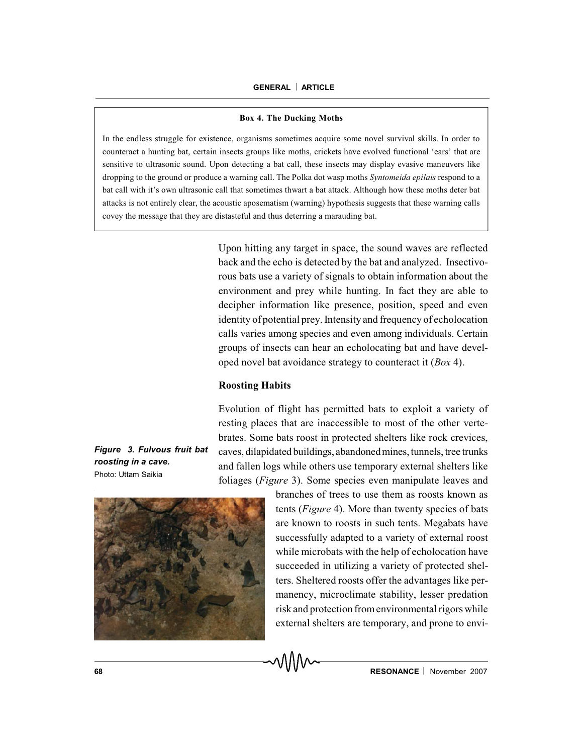#### **Box 4. The Ducking Moths**

In the endless struggle for existence, organisms sometimes acquire some novel survival skills. In order to counteract a hunting bat, certain insects groups like moths, crickets have evolved functional 'ears' that are sensitive to ultrasonic sound. Upon detecting a bat call, these insects may display evasive maneuvers like dropping to the ground or produce a warning call. The Polka dot wasp moths *Syntomeida epilais* respond to a bat call with it's own ultrasonic call that sometimes thwart a bat attack. Although how these moths deter bat attacks is not entirely clear, the acoustic aposematism (warning) hypothesis suggests that these warning calls covey the message that they are distasteful and thus deterring a marauding bat.

> Upon hitting any target in space, the sound waves are reflected back and the echo is detected by the bat and analyzed. Insectivorous bats use a variety of signals to obtain information about the environment and prey while hunting. In fact they are able to decipher information like presence, position, speed and even identity of potential prey. Intensity and frequency of echolocation calls varies among species and even among individuals. Certain groups of insects can hear an echolocating bat and have developed novel bat avoidance strategy to counteract it (*Box* 4).

### **Roosting Habits**

Evolution of flight has permitted bats to exploit a variety of resting places that are inaccessible to most of the other vertebrates. Some bats roost in protected shelters like rock crevices, caves, dilapidated buildings, abandonedmines, tunnels, tree trunks and fallen logs while others use temporary external shelters like foliages (*Figure* 3). Some species even manipulate leaves and

> branches of trees to use them as roosts known as tents (*Figure* 4). More than twenty species of bats

> are known to roosts in such tents. Megabats have successfully adapted to a variety of external roost while microbats with the help of echolocation have succeeded in utilizing a variety of protected shelters. Sheltered roosts offer the advantages like permanency, microclimate stability, lesser predation risk and protection from environmental rigors while external shelters are temporary, and prone to envi-

*Figure 3. Fulvous fruit bat roosting in a cave.* Photo: Uttam Saikia

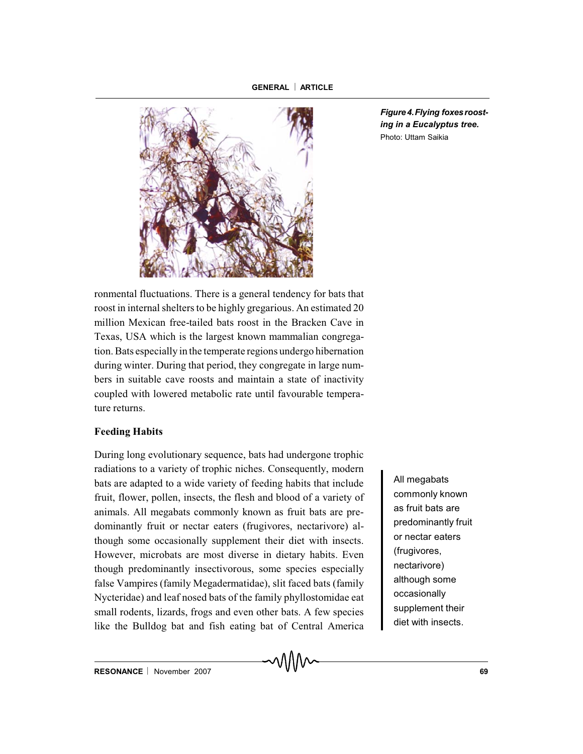

*Figure 4.Flying foxes roosting in a Eucalyptus tree.* Photo: Uttam Saikia

ronmental fluctuations. There is a general tendency for bats that roost in internal shelters to be highly gregarious. An estimated 20 million Mexican free-tailed bats roost in the Bracken Cave in Texas, USA which is the largest known mammalian congregation. Bats especially in the temperate regions undergo hibernation during winter. During that period, they congregate in large numbers in suitable cave roosts and maintain a state of inactivity coupled with lowered metabolic rate until favourable temperature returns.

# **Feeding Habits**

During long evolutionary sequence, bats had undergone trophic radiations to a variety of trophic niches. Consequently, modern bats are adapted to a wide variety of feeding habits that include fruit, flower, pollen, insects, the flesh and blood of a variety of animals. All megabats commonly known as fruit bats are predominantly fruit or nectar eaters (frugivores, nectarivore) although some occasionally supplement their diet with insects. However, microbats are most diverse in dietary habits. Even though predominantly insectivorous, some species especially false Vampires (family Megadermatidae), slit faced bats (family Nycteridae) and leaf nosed bats of the family phyllostomidae eat small rodents, lizards, frogs and even other bats. A few species like the Bulldog bat and fish eating bat of Central America

All megabats commonly known as fruit bats are predominantly fruit or nectar eaters (frugivores, nectarivore) although some occasionally supplement their diet with insects.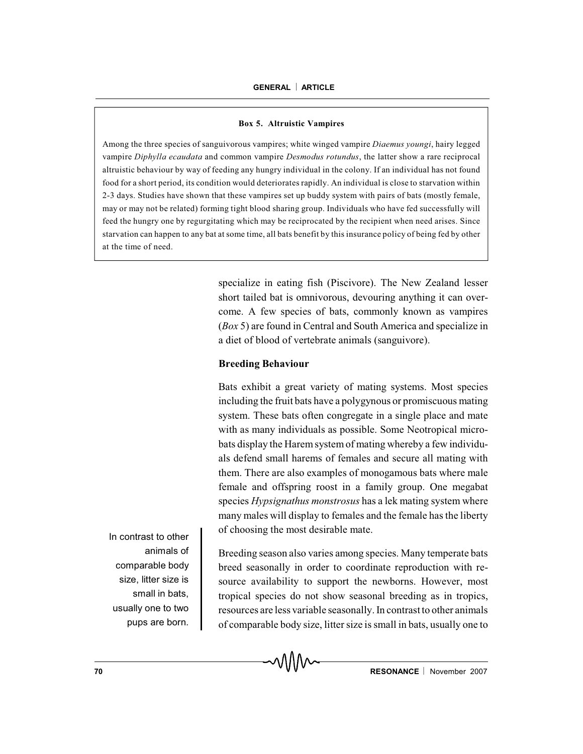#### **Box 5. Altruistic Vampires**

Among the three species of sanguivorous vampires; white winged vampire *Diaemus youngi*, hairy legged vampire *Diphylla ecaudata* and common vampire *Desmodus rotundus*, the latter show a rare reciprocal altruistic behaviour by way of feeding any hungry individual in the colony. If an individual has not found food for a short period, its condition would deteriorates rapidly. An individual is close to starvation within 2-3 days. Studies have shown that these vampires set up buddy system with pairs of bats (mostly female, may or may not be related) forming tight blood sharing group. Individuals who have fed successfully will feed the hungry one by regurgitating which may be reciprocated by the recipient when need arises. Since starvation can happen to any bat at some time, all bats benefit by this insurance policy of being fed by other at the time of need.

> specialize in eating fish (Piscivore). The New Zealand lesser short tailed bat is omnivorous, devouring anything it can overcome. A few species of bats, commonly known as vampires (*Box* 5) are found in Central and South America and specialize in a diet of blood of vertebrate animals (sanguivore).

# **Breeding Behaviour**

Bats exhibit a great variety of mating systems. Most species including the fruit bats have a polygynous or promiscuous mating system. These bats often congregate in a single place and mate with as many individuals as possible. Some Neotropical microbats display the Harem system of mating whereby a few individuals defend small harems of females and secure all mating with them. There are also examples of monogamous bats where male female and offspring roost in a family group. One megabat species *Hypsignathus monstrosus* has a lek mating system where many males will display to females and the female has the liberty of choosing the most desirable mate.

In contrast to other animals of comparable body size, litter size is small in bats, usually one to two pups are born.

Breeding season also varies among species. Many temperate bats breed seasonally in order to coordinate reproduction with resource availability to support the newborns. However, most tropical species do not show seasonal breeding as in tropics, resources are less variable seasonally. In contrast to other animals of comparable body size, litter size is small in bats, usually one to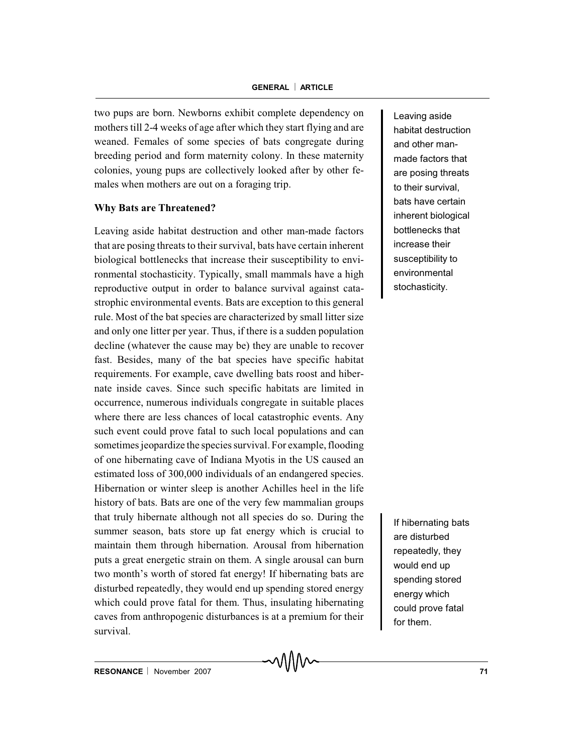two pups are born. Newborns exhibit complete dependency on mothers till 2-4 weeks of age after which they start flying and are weaned. Females of some species of bats congregate during breeding period and form maternity colony. In these maternity colonies, young pups are collectively looked after by other females when mothers are out on a foraging trip.

# **Why Bats are Threatened?**

Leaving aside habitat destruction and other man-made factors that are posing threats to their survival, bats have certain inherent biological bottlenecks that increase their susceptibility to environmental stochasticity. Typically, small mammals have a high reproductive output in order to balance survival against catastrophic environmental events. Bats are exception to this general rule. Most of the bat species are characterized by small litter size and only one litter per year. Thus, if there is a sudden population decline (whatever the cause may be) they are unable to recover fast. Besides, many of the bat species have specific habitat requirements. For example, cave dwelling bats roost and hibernate inside caves. Since such specific habitats are limited in occurrence, numerous individuals congregate in suitable places where there are less chances of local catastrophic events. Any such event could prove fatal to such local populations and can sometimes jeopardize the species survival. For example, flooding of one hibernating cave of Indiana Myotis in the US caused an estimated loss of 300,000 individuals of an endangered species. Hibernation or winter sleep is another Achilles heel in the life history of bats. Bats are one of the very few mammalian groups that truly hibernate although not all species do so. During the summer season, bats store up fat energy which is crucial to maintain them through hibernation. Arousal from hibernation puts a great energetic strain on them. A single arousal can burn two month's worth of stored fat energy! If hibernating bats are disturbed repeatedly, they would end up spending stored energy which could prove fatal for them. Thus, insulating hibernating caves from anthropogenic disturbances is at a premium for their survival.

Leaving aside habitat destruction and other manmade factors that are posing threats to their survival, bats have certain inherent biological bottlenecks that increase their susceptibility to environmental stochasticity.

If hibernating bats are disturbed repeatedly, they would end up spending stored energy which could prove fatal for them.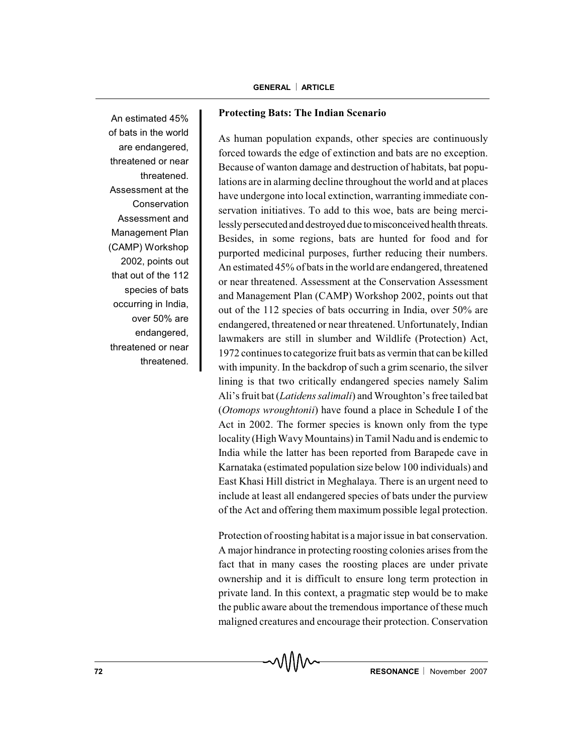An estimated 45% of bats in the world are endangered, threatened or near threatened. Assessment at the Conservation Assessment and Management Plan (CAMP) Workshop 2002, points out that out of the 112 species of bats occurring in India, over 50% are endangered, threatened or near threatened.

# **Protecting Bats: The Indian Scenario**

As human population expands, other species are continuously forced towards the edge of extinction and bats are no exception. Because of wanton damage and destruction of habitats, bat populations are in alarming decline throughout the world and at places have undergone into local extinction, warranting immediate conservation initiatives. To add to this woe, bats are being mercilessly persecuted and destroyed due to misconceived health threats. Besides, in some regions, bats are hunted for food and for purported medicinal purposes, further reducing their numbers. An estimated 45% of bats in the world are endangered, threatened or near threatened. Assessment at the Conservation Assessment and Management Plan (CAMP) Workshop 2002, points out that out of the 112 species of bats occurring in India, over 50% are endangered, threatened or near threatened. Unfortunately, Indian lawmakers are still in slumber and Wildlife (Protection) Act, 1972 continues to categorize fruit bats as vermin that can be killed with impunity. In the backdrop of such a grim scenario, the silver lining is that two critically endangered species namely Salim Ali's fruit bat (*Latidens salimali*) and Wroughton's free tailed bat (*Otomops wroughtonii*) have found a place in Schedule I of the Act in 2002. The former species is known only from the type locality (High Wavy Mountains) in Tamil Nadu and is endemic to India while the latter has been reported from Barapede cave in Karnataka (estimated population size below 100 individuals) and East Khasi Hill district in Meghalaya. There is an urgent need to include at least all endangered species of bats under the purview of the Act and offering them maximum possible legal protection.

Protection of roosting habitat is a major issue in bat conservation. A major hindrance in protecting roosting colonies arises from the fact that in many cases the roosting places are under private ownership and it is difficult to ensure long term protection in private land. In this context, a pragmatic step would be to make the public aware about the tremendous importance of these much maligned creatures and encourage their protection. Conservation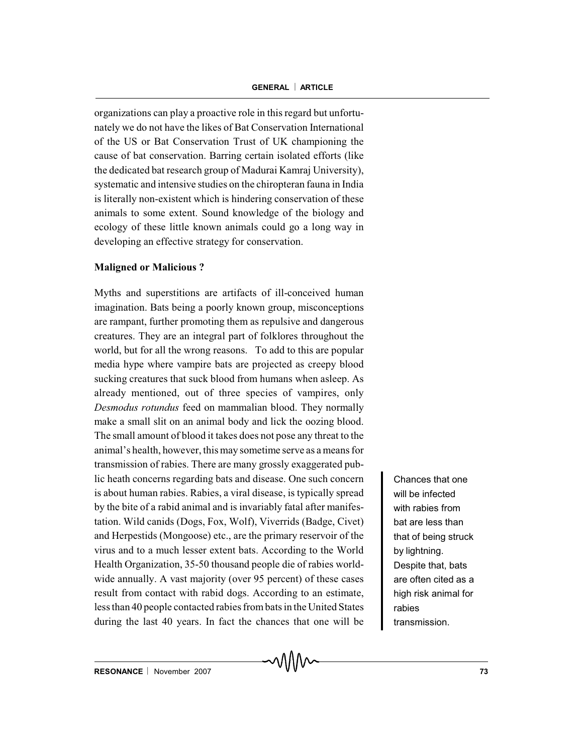organizations can play a proactive role in this regard but unfortunately we do not have the likes of Bat Conservation International of the US or Bat Conservation Trust of UK championing the cause of bat conservation. Barring certain isolated efforts (like the dedicated bat research group of Madurai Kamraj University), systematic and intensive studies on the chiropteran fauna in India is literally non-existent which is hindering conservation of these animals to some extent. Sound knowledge of the biology and ecology of these little known animals could go a long way in developing an effective strategy for conservation.

# **Maligned or Malicious ?**

Myths and superstitions are artifacts of ill-conceived human imagination. Bats being a poorly known group, misconceptions are rampant, further promoting them as repulsive and dangerous creatures. They are an integral part of folklores throughout the world, but for all the wrong reasons. To add to this are popular media hype where vampire bats are projected as creepy blood sucking creatures that suck blood from humans when asleep. As already mentioned, out of three species of vampires, only *Desmodus rotundus* feed on mammalian blood. They normally make a small slit on an animal body and lick the oozing blood. The small amount of blood it takes does not pose any threat to the animal's health, however, this may sometime serve as a means for transmission of rabies. There are many grossly exaggerated public heath concerns regarding bats and disease. One such concern is about human rabies. Rabies, a viral disease, is typically spread by the bite of a rabid animal and is invariably fatal after manifestation. Wild canids (Dogs, Fox, Wolf), Viverrids (Badge, Civet) and Herpestids (Mongoose) etc., are the primary reservoir of the virus and to a much lesser extent bats. According to the World Health Organization, 35-50 thousand people die of rabies worldwide annually. A vast majority (over 95 percent) of these cases result from contact with rabid dogs. According to an estimate, less than 40 people contacted rabies from bats in the United States during the last 40 years. In fact the chances that one will be

Chances that one will be infected with rabies from bat are less than that of being struck by lightning. Despite that, bats are often cited as a high risk animal for rabies transmission.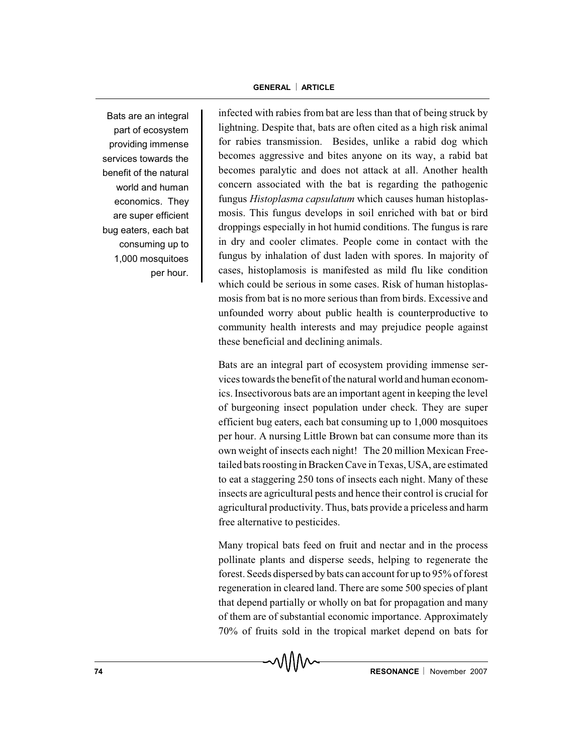Bats are an integral part of ecosystem providing immense services towards the benefit of the natural world and human economics. They are super efficient bug eaters, each bat consuming up to 1,000 mosquitoes per hour.

infected with rabies from bat are less than that of being struck by lightning. Despite that, bats are often cited as a high risk animal for rabies transmission. Besides, unlike a rabid dog which becomes aggressive and bites anyone on its way, a rabid bat becomes paralytic and does not attack at all. Another health concern associated with the bat is regarding the pathogenic fungus *Histoplasma capsulatum* which causes human histoplasmosis. This fungus develops in soil enriched with bat or bird droppings especially in hot humid conditions. The fungus is rare in dry and cooler climates. People come in contact with the fungus by inhalation of dust laden with spores. In majority of cases, histoplamosis is manifested as mild flu like condition which could be serious in some cases. Risk of human histoplasmosis from bat is no more serious than from birds. Excessive and unfounded worry about public health is counterproductive to community health interests and may prejudice people against these beneficial and declining animals.

Bats are an integral part of ecosystem providing immense services towards the benefit of the natural world and human economics. Insectivorous bats are an important agent in keeping the level of burgeoning insect population under check. They are super efficient bug eaters, each bat consuming up to 1,000 mosquitoes per hour. A nursing Little Brown bat can consume more than its own weight of insects each night! The 20 million Mexican Freetailed bats roostingin Bracken Cave in Texas, USA, are estimated to eat a staggering 250 tons of insects each night. Many of these insects are agricultural pests and hence their control is crucial for agricultural productivity. Thus, bats provide a priceless and harm free alternative to pesticides.

Many tropical bats feed on fruit and nectar and in the process pollinate plants and disperse seeds, helping to regenerate the forest. Seeds dispersed by bats can account for up to 95% of forest regeneration in cleared land. There are some 500 species of plant that depend partially or wholly on bat for propagation and many of them are of substantial economic importance. Approximately 70% of fruits sold in the tropical market depend on bats for

∧∧∧∧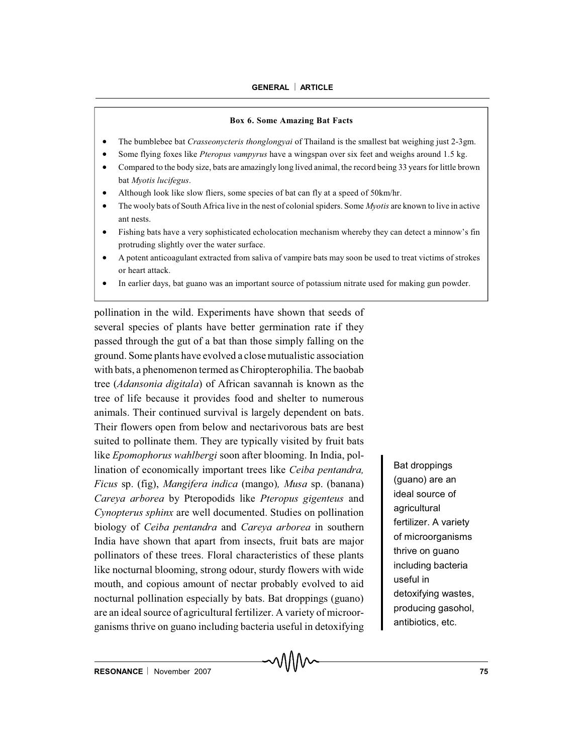### **GENERAL** ¨ **ARTICLE**

### **Box 6. Some Amazing Bat Facts**

- x The bumblebee bat *Crasseonycteris thonglongyai* of Thailand is the smallest bat weighing just 2-3gm.
- x Some flying foxes like *Pteropus vampyrus* have a wingspan over six feet and weighs around 1.5 kg.
- x Compared to the body size, bats are amazingly long lived animal, the record being 33 years for little brown bat *Myotis lucifegus*.
- Although look like slow fliers, some species of bat can fly at a speed of 50km/hr.
- x The wooly bats of South Africa live in the nest of colonial spiders. Some *Myotis* are known to live in active ant nests.
- Fishing bats have a very sophisticated echolocation mechanism whereby they can detect a minnow's fin protruding slightly over the water surface.
- A potent anticoagulant extracted from saliva of vampire bats may soon be used to treat victims of strokes or heart attack.
- In earlier days, bat guano was an important source of potassium nitrate used for making gun powder.

pollination in the wild. Experiments have shown that seeds of several species of plants have better germination rate if they passed through the gut of a bat than those simply falling on the ground. Some plants have evolved a close mutualistic association with bats, a phenomenon termed as Chiropterophilia. The baobab tree (*Adansonia digitala*) of African savannah is known as the tree of life because it provides food and shelter to numerous animals. Their continued survival is largely dependent on bats. Their flowers open from below and nectarivorous bats are best suited to pollinate them. They are typically visited by fruit bats like *Epomophorus wahlbergi* soon after blooming. In India, pollination of economically important trees like *Ceiba pentandra, Ficus* sp. (fig), *Mangifera indica* (mango)*, Musa* sp. (banana) *Careya arborea* by Pteropodids like *Pteropus gigenteus* and *Cynopterus sphinx* are well documented. Studies on pollination biology of *Ceiba pentandra* and *Careya arborea* in southern India have shown that apart from insects, fruit bats are major pollinators of these trees. Floral characteristics of these plants like nocturnal blooming, strong odour, sturdy flowers with wide mouth, and copious amount of nectar probably evolved to aid nocturnal pollination especially by bats. Bat droppings (guano) are an ideal source of agricultural fertilizer. A variety of microorganisms thrive on guano including bacteria useful in detoxifying

Bat droppings (guano) are an ideal source of agricultural fertilizer. A variety of microorganisms thrive on guano including bacteria useful in detoxifying wastes, producing gasohol, antibiotics, etc.